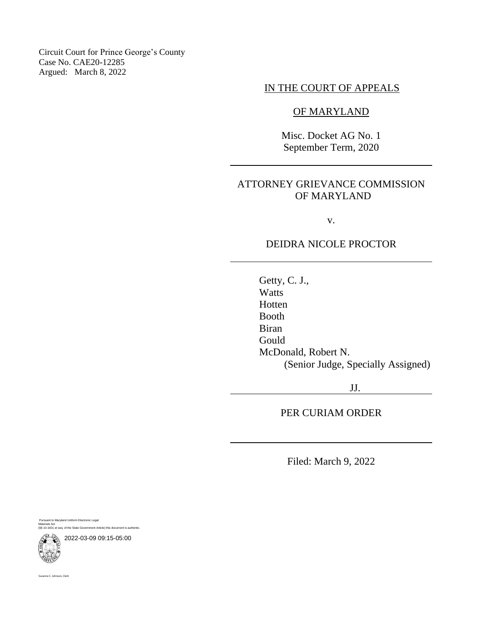Circuit Court for Prince George's County Case No. CAE20-12285 Argued: March 8, 2022

# IN THE COURT OF APPEALS

## OF MARYLAND

Misc. Docket AG No. 1 September Term, 2020

## ATTORNEY GRIEVANCE COMMISSION OF MARYLAND

v.

## DEIDRA NICOLE PROCTOR

Getty, C. J., Watts Hotten Booth Biran Gould McDonald, Robert N. (Senior Judge, Specially Assigned)

JJ.

PER CURIAM ORDER

Filed: March 9, 2022

Pursuant to Maryland Uniform Electronic Legal Materials Act (§§ 10-1601 et seq. of the State Government Article) this document is authentic.

2022-03-09 09:15-05:00



anne C. Johnson, Clerk